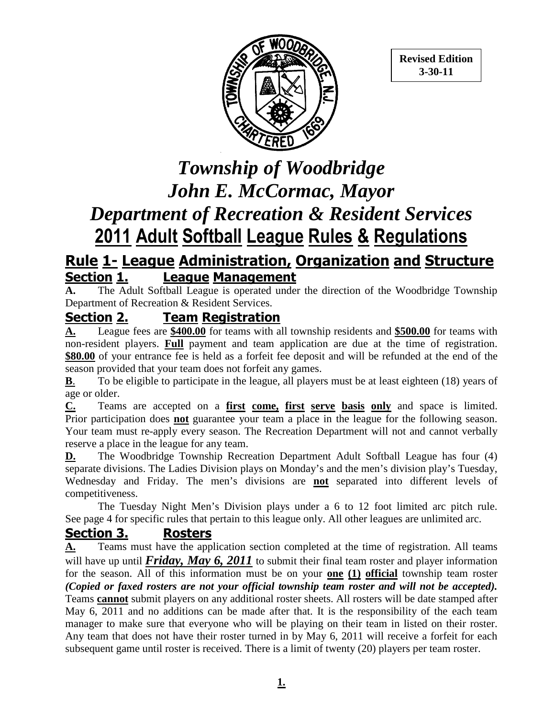

**Revised Edition 3-30-11** 

# *Township of Woodbridge John E. McCormac, Mayor Department of Recreation & Resident Services*  **2011 Adult Softball League Rules & Regulations**

### **Rule 1- League Administration, Organization and Structure Section 1. League Management**

**A.** The Adult Softball League is operated under the direction of the Woodbridge Township Department of Recreation & Resident Services.

#### **Section 2. Team Registration**

**A.** League fees are **\$400.00** for teams with all township residents and **\$500.00** for teams with non-resident players. **Full** payment and team application are due at the time of registration. **\$80.00** of your entrance fee is held as a forfeit fee deposit and will be refunded at the end of the season provided that your team does not forfeit any games.

**B**. To be eligible to participate in the league, all players must be at least eighteen (18) years of age or older.

**C.** Teams are accepted on a **first come, first serve basis only** and space is limited. Prior participation does **not** guarantee your team a place in the league for the following season. Your team must re-apply every season. The Recreation Department will not and cannot verbally reserve a place in the league for any team.

**D.** The Woodbridge Township Recreation Department Adult Softball League has four (4) separate divisions. The Ladies Division plays on Monday's and the men's division play's Tuesday, Wednesday and Friday. The men's divisions are **not** separated into different levels of competitiveness.

The Tuesday Night Men's Division plays under a 6 to 12 foot limited arc pitch rule. See page 4 for specific rules that pertain to this league only. All other leagues are unlimited arc.

#### **Section 3. Rosters**

**A.** Teams must have the application section completed at the time of registration. All teams will have up until *Friday, May 6, 2011* to submit their final team roster and player information for the season. All of this information must be on your **one (1) official** township team roster *(Copied or faxed rosters are not your official township team roster and will not be accepted).* Teams **cannot** submit players on any additional roster sheets. All rosters will be date stamped after May 6, 2011 and no additions can be made after that. It is the responsibility of the each team manager to make sure that everyone who will be playing on their team in listed on their roster. Any team that does not have their roster turned in by May 6, 2011 will receive a forfeit for each subsequent game until roster is received. There is a limit of twenty (20) players per team roster.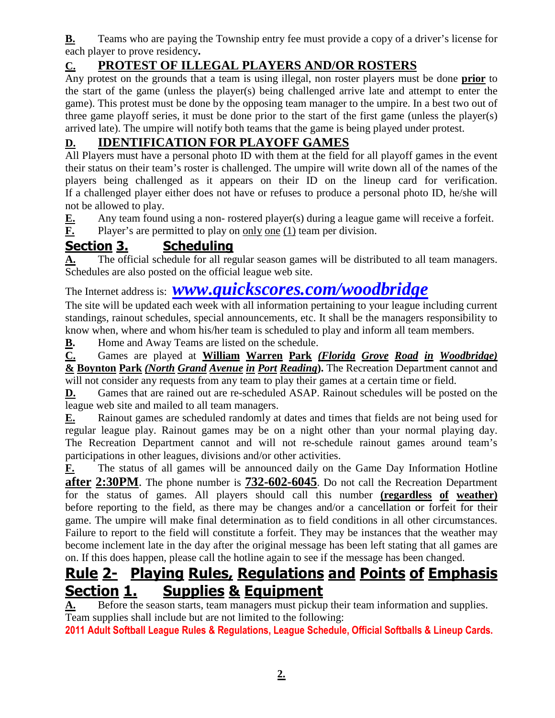**B.** Teams who are paying the Township entry fee must provide a copy of a driver's license for each player to prove residency**.** 

#### **C. PROTEST OF ILLEGAL PLAYERS AND/OR ROSTERS**

Any protest on the grounds that a team is using illegal, non roster players must be done **prior** to the start of the game (unless the player(s) being challenged arrive late and attempt to enter the game). This protest must be done by the opposing team manager to the umpire. In a best two out of three game playoff series, it must be done prior to the start of the first game (unless the player(s) arrived late). The umpire will notify both teams that the game is being played under protest.

#### **D. IDENTIFICATION FOR PLAYOFF GAMES**

All Players must have a personal photo ID with them at the field for all playoff games in the event their status on their team's roster is challenged. The umpire will write down all of the names of the players being challenged as it appears on their ID on the lineup card for verification. If a challenged player either does not have or refuses to produce a personal photo ID, he/she will not be allowed to play.

**E.** Any team found using a non- rostered player(s) during a league game will receive a forfeit.

**F.** Player's are permitted to play on only one (1) team per division.

#### **Section 3. Scheduling**

A. The official schedule for all regular season games will be distributed to all team managers. Schedules are also posted on the official league web site.

### The Internet address is: *www.quickscores.com/woodbridge*

The site will be updated each week with all information pertaining to your league including current standings, rainout schedules, special announcements, etc. It shall be the managers responsibility to know when, where and whom his/her team is scheduled to play and inform all team members.

**B.** Home and Away Teams are listed on the schedule.

**C.** Games are played at **William Warren Park** *(Florida Grove Road in Woodbridge)* **& Boynton Park** *(North Grand Avenue in Port Reading***).** The Recreation Department cannot and will not consider any requests from any team to play their games at a certain time or field.

**D.** Games that are rained out are re-scheduled ASAP. Rainout schedules will be posted on the league web site and mailed to all team managers.

**E.** Rainout games are scheduled randomly at dates and times that fields are not being used for regular league play. Rainout games may be on a night other than your normal playing day. The Recreation Department cannot and will not re-schedule rainout games around team's participations in other leagues, divisions and/or other activities.

**F.** The status of all games will be announced daily on the Game Day Information Hotline **after 2:30PM**. The phone number is **732-602-6045**. Do not call the Recreation Department for the status of games. All players should call this number **(regardless of weather)** before reporting to the field, as there may be changes and/or a cancellation or forfeit for their game. The umpire will make final determination as to field conditions in all other circumstances. Failure to report to the field will constitute a forfeit. They may be instances that the weather may become inclement late in the day after the original message has been left stating that all games are on. If this does happen, please call the hotline again to see if the message has been changed.

### **Rule 2- Playing Rules, Regulations and Points of Emphasis Section 1. Supplies & Equipment**

**A.** Before the season starts, team managers must pickup their team information and supplies. Team supplies shall include but are not limited to the following:

**2011 Adult Softball League Rules & Regulations, League Schedule, Official Softballs & Lineup Cards.**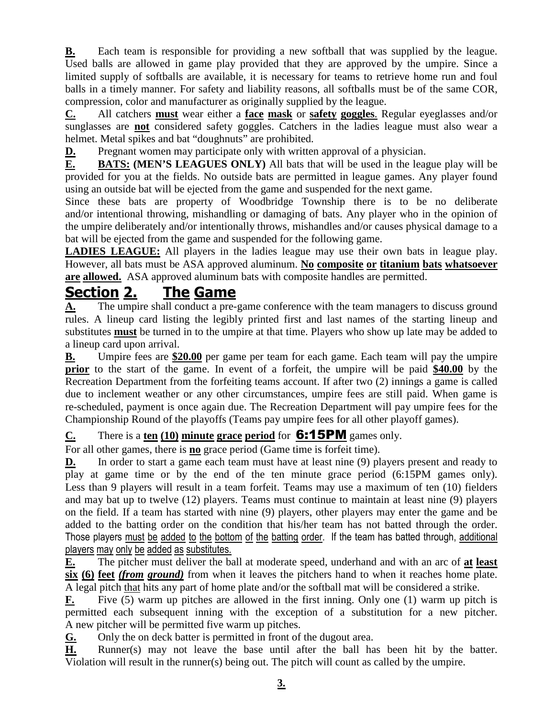**B.** Each team is responsible for providing a new softball that was supplied by the league. Used balls are allowed in game play provided that they are approved by the umpire. Since a limited supply of softballs are available, it is necessary for teams to retrieve home run and foul balls in a timely manner. For safety and liability reasons, all softballs must be of the same COR, compression, color and manufacturer as originally supplied by the league.

**C.** All catchers **must** wear either a **face mask** or **safety goggles**. Regular eyeglasses and/or sunglasses are **not** considered safety goggles. Catchers in the ladies league must also wear a helmet. Metal spikes and bat "doughnuts" are prohibited.

**D.** Pregnant women may participate only with written approval of a physician.

**E. BATS: (MEN'S LEAGUES ONLY)** All bats that will be used in the league play will be provided for you at the fields. No outside bats are permitted in league games. Any player found using an outside bat will be ejected from the game and suspended for the next game.

Since these bats are property of Woodbridge Township there is to be no deliberate and/or intentional throwing, mishandling or damaging of bats. Any player who in the opinion of the umpire deliberately and/or intentionally throws, mishandles and/or causes physical damage to a bat will be ejected from the game and suspended for the following game.

**LADIES LEAGUE:** All players in the ladies league may use their own bats in league play. However, all bats must be ASA approved aluminum. **No composite or titanium bats whatsoever are allowed.** ASA approved aluminum bats with composite handles are permitted.

# **Section 2. The Game**

**A.** The umpire shall conduct a pre-game conference with the team managers to discuss ground rules. A lineup card listing the legibly printed first and last names of the starting lineup and substitutes **must** be turned in to the umpire at that time. Players who show up late may be added to a lineup card upon arrival.

**B.** Umpire fees are **\$20.00** per game per team for each game. Each team will pay the umpire **prior** to the start of the game. In event of a forfeit, the umpire will be paid **\$40.00** by the Recreation Department from the forfeiting teams account. If after two (2) innings a game is called due to inclement weather or any other circumstances, umpire fees are still paid. When game is re-scheduled, payment is once again due. The Recreation Department will pay umpire fees for the Championship Round of the playoffs (Teams pay umpire fees for all other playoff games).

#### **C.** There is a **ten (10) minute grace period** for 6:15PM games only.

For all other games, there is **no** grace period (Game time is forfeit time).

**D.** In order to start a game each team must have at least nine (9) players present and ready to play at game time or by the end of the ten minute grace period (6:15PM games only). Less than 9 players will result in a team forfeit. Teams may use a maximum of ten (10) fielders and may bat up to twelve (12) players. Teams must continue to maintain at least nine (9) players on the field. If a team has started with nine (9) players, other players may enter the game and be added to the batting order on the condition that his/her team has not batted through the order. Those players must be added to the bottom of the batting order. If the team has batted through, additional players may only be added as substitutes.

**E.** The pitcher must deliver the ball at moderate speed, underhand and with an arc of **at least six (6) feet** *(from ground)* from when it leaves the pitchers hand to when it reaches home plate. A legal pitch that hits any part of home plate and/or the softball mat will be considered a strike.

**F.** Five (5) warm up pitches are allowed in the first inning. Only one (1) warm up pitch is permitted each subsequent inning with the exception of a substitution for a new pitcher. A new pitcher will be permitted five warm up pitches.

**G.** Only the on deck batter is permitted in front of the dugout area.

**H.** Runner(s) may not leave the base until after the ball has been hit by the batter. Violation will result in the runner(s) being out. The pitch will count as called by the umpire.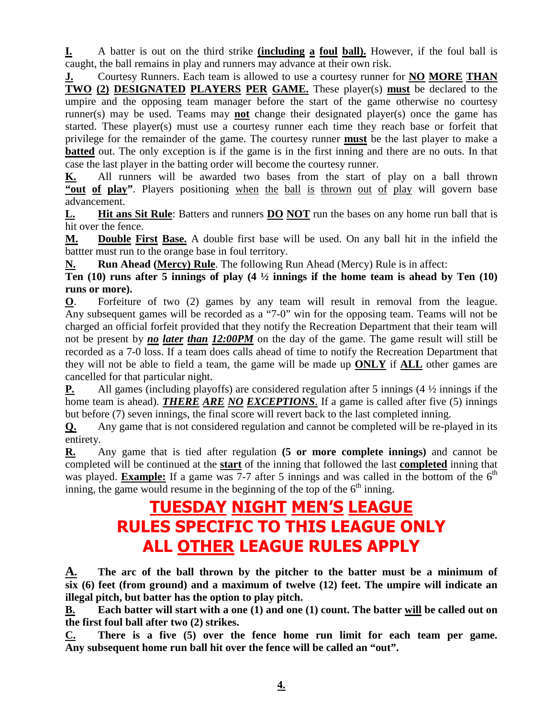**I.** A batter is out on the third strike **(including a foul ball).** However, if the foul ball is caught, the ball remains in play and runners may advance at their own risk.

**J.** Courtesy Runners. Each team is allowed to use a courtesy runner for **NO MORE THAN TWO (2) DESIGNATED PLAYERS PER GAME.** These player(s) **must** be declared to the umpire and the opposing team manager before the start of the game otherwise no courtesy runner(s) may be used. Teams may **not** change their designated player(s) once the game has started. These player(s) must use a courtesy runner each time they reach base or forfeit that privilege for the remainder of the game. The courtesy runner **must** be the last player to make a **batted** out. The only exception is if the game is in the first inning and there are no outs. In that case the last player in the batting order will become the courtesy runner.

**K.** All runners will be awarded two bases from the start of play on a ball thrown **"out of play"**. Players positioning when the ball is thrown out of play will govern base advancement.

**L. Hit ans Sit Rule**: Batters and runners **DO NOT** run the bases on any home run ball that is hit over the fence.

**M. Double First Base.** A double first base will be used. On any ball hit in the infield the battter must run to the orange base in foul territory.

**N. Run Ahead (Mercy) Rule**. The following Run Ahead (Mercy) Rule is in affect:

**Ten (10) runs after 5 innings of play (4 ½ innings if the home team is ahead by Ten (10) runs or more).** 

**O**. Forfeiture of two (2) games by any team will result in removal from the league. Any subsequent games will be recorded as a "7-0" win for the opposing team. Teams will not be charged an official forfeit provided that they notify the Recreation Department that their team will not be present by *no later than 12:00PM* on the day of the game. The game result will still be recorded as a 7-0 loss. If a team does calls ahead of time to notify the Recreation Department that they will not be able to field a team, the game will be made up **ONLY** if **ALL** other games are cancelled for that particular night.

**P.** All games (including playoffs) are considered regulation after 5 innings (4  $\frac{1}{2}$  innings if the home team is ahead). *THERE ARE NO EXCEPTIONS*. If a game is called after five (5) innings but before (7) seven innings, the final score will revert back to the last completed inning.

**Q.** Any game that is not considered regulation and cannot be completed will be re-played in its entirety.

**R.** Any game that is tied after regulation **(5 or more complete innings)** and cannot be completed will be continued at the **start** of the inning that followed the last **completed** inning that was played. **Example:** If a game was 7-7 after 5 innings and was called in the bottom of the  $6<sup>th</sup>$ inning, the game would resume in the beginning of the top of the  $6<sup>th</sup>$  inning.

# **TUESDAY NIGHT MEN'S LEAGUE RULES SPECIFIC TO THIS LEAGUE ONLY ALL OTHER LEAGUE RULES APPLY**

**A. The arc of the ball thrown by the pitcher to the batter must be a minimum of six (6) feet (from ground) and a maximum of twelve (12) feet. The umpire will indicate an illegal pitch, but batter has the option to play pitch.** 

**B. Each batter will start with a one (1) and one (1) count. The batter will be called out on the first foul ball after two (2) strikes.** 

**C. There is a five (5) over the fence home run limit for each team per game. Any subsequent home run ball hit over the fence will be called an "out".**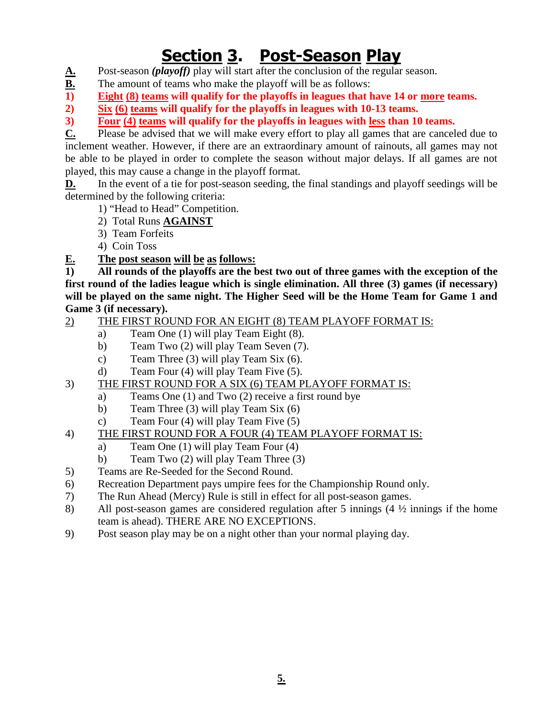# **Section 3. Post-Season Play**

- A. Post-season *(playoff)* play will start after the conclusion of the regular season.<br>B. The amount of teams who make the playoff will be as follows:
- **B.** The amount of teams who make the playoff will be as follows:<br> **B. Eight (8) teams will qualify for the playoffs in leagues that I**
- Eight (8) teams will qualify for the playoffs in leagues that have 14 or more teams.
- **2) Six (6) teams will qualify for the playoffs in leagues with 10-13 teams.**

**3) Four (4) teams will qualify for the playoffs in leagues with less than 10 teams.** 

**C.** Please be advised that we will make every effort to play all games that are canceled due to inclement weather. However, if there are an extraordinary amount of rainouts, all games may not be able to be played in order to complete the season without major delays. If all games are not played, this may cause a change in the playoff format.

**D.** In the event of a tie for post-season seeding, the final standings and playoff seedings will be determined by the following criteria:

- 1) "Head to Head" Competition.
- 2) Total Runs **AGAINST**
- 3) Team Forfeits
- 4) Coin Toss
- **E. The post season will be as follows:**

**1) All rounds of the playoffs are the best two out of three games with the exception of the first round of the ladies league which is single elimination. All three (3) games (if necessary) will be played on the same night. The Higher Seed will be the Home Team for Game 1 and Game 3 (if necessary).** 

- 2) THE FIRST ROUND FOR AN EIGHT (8) TEAM PLAYOFF FORMAT IS:
	- a) Team One (1) will play Team Eight (8).
	- b) Team Two (2) will play Team Seven (7).
	- c) Team Three (3) will play Team Six (6).
	- d) Team Four (4) will play Team Five (5).
- 3) THE FIRST ROUND FOR A SIX (6) TEAM PLAYOFF FORMAT IS:
	- a) Teams One (1) and Two (2) receive a first round bye
	- b) Team Three (3) will play Team Six (6)
	- c) Team Four (4) will play Team Five (5)
- 4) THE FIRST ROUND FOR A FOUR (4) TEAM PLAYOFF FORMAT IS:
	- a) Team One (1) will play Team Four (4)
	- b) Team Two (2) will play Team Three (3)
- 5) Teams are Re-Seeded for the Second Round.
- 6) Recreation Department pays umpire fees for the Championship Round only.
- 7) The Run Ahead (Mercy) Rule is still in effect for all post-season games.
- 8) All post-season games are considered regulation after 5 innings (4 ½ innings if the home team is ahead). THERE ARE NO EXCEPTIONS.
- 9) Post season play may be on a night other than your normal playing day.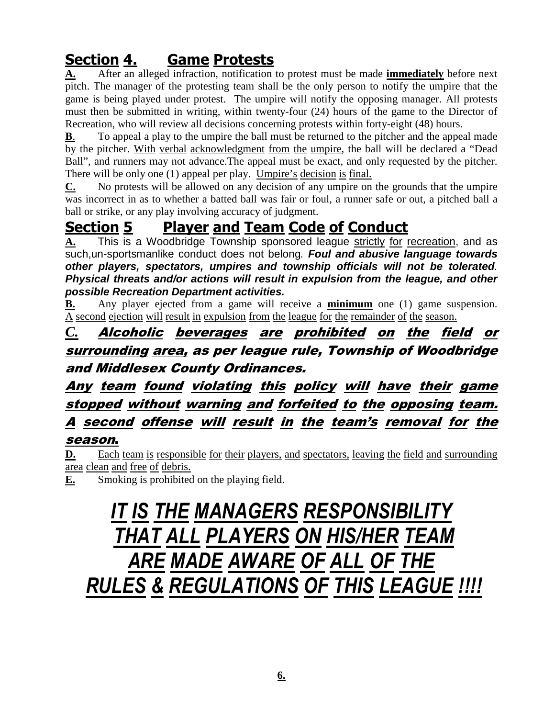# **Section 4. Game Protests**

**A.** After an alleged infraction, notification to protest must be made **immediately** before next pitch. The manager of the protesting team shall be the only person to notify the umpire that the game is being played under protest. The umpire will notify the opposing manager. All protests must then be submitted in writing, within twenty-four (24) hours of the game to the Director of Recreation, who will review all decisions concerning protests within forty-eight (48) hours.

**B**. To appeal a play to the umpire the ball must be returned to the pitcher and the appeal made by the pitcher. With verbal acknowledgment from the umpire, the ball will be declared a "Dead Ball", and runners may not advance. The appeal must be exact, and only requested by the pitcher. There will be only one (1) appeal per play. Umpire's decision is final.

**C.** No protests will be allowed on any decision of any umpire on the grounds that the umpire was incorrect in as to whether a batted ball was fair or foul, a runner safe or out, a pitched ball a ball or strike, or any play involving accuracy of judgment.

# **Section 5 Player and Team Code of Conduct**

**A.** This is a Woodbridge Township sponsored league strictly for recreation, and as such,un-sportsmanlike conduct does not belong. **Foul and abusive language towards other players, spectators, umpires and township officials will not be tolerated**. **Physical threats and/or actions will result in expulsion from the league, and other possible Recreation Department activities.** 

**B.** Any player ejected from a game will receive a **minimum** one (1) game suspension. A second ejection will result in expulsion from the league for the remainder of the season.

### *C.* Alcoholic beverages are prohibited on the field or surrounding area, as per league rule, Township of Woodbridge and Middlesex County Ordinances.

# Any team found violating this policy will have their game stopped without warning and forfeited to the opposing team. A second offense will result in the team's removal for the

#### season.

**D.** Each team is responsible for their players, and spectators, leaving the field and surrounding area clean and free of debris.

**E.** Smoking is prohibited on the playing field.

# *IT IS THE MANAGERS RESPONSIBILITY THAT ALL PLAYERS ON HIS/HER TEAM ARE MADE AWARE OF ALL OF THE RULES & REGULATIONS OF THIS LEAGUE !!!!*